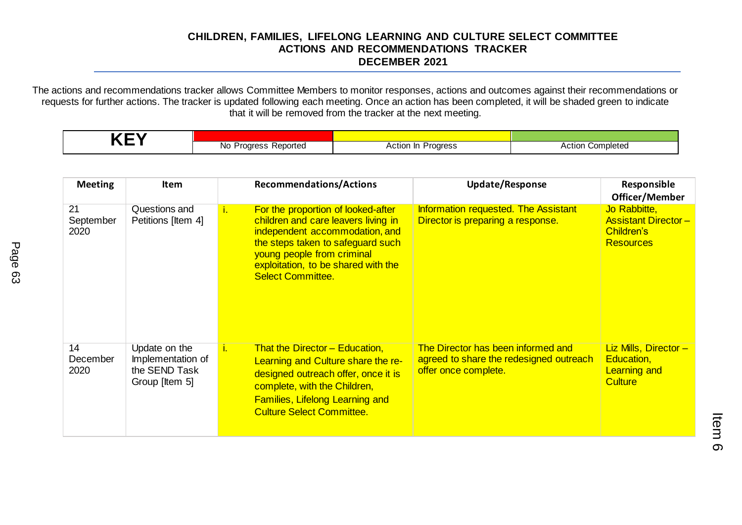## **CHILDREN, FAMILIES, LIFELONG LEARNING AND CULTURE SELECT COMMITTEE ACTIONS AND RECOMMENDATIONS TRACKER DECEMBER 2021**

The actions and recommendations tracker allows Committee Members to monitor responses, actions and outcomes against their recommendations or requests for further actions. The tracker is updated following each meeting. Once an action has been completed, it will be shaded green to indicate that it will be removed from the tracker at the next meeting.

|  | N0<br>Reported<br>$\qquad \qquad \cdots \qquad \qquad$<br>. . | Progress<br>Action In | Completed<br>Action |
|--|---------------------------------------------------------------|-----------------------|---------------------|

| <b>Meeting</b>          | <b>Item</b>                                                           | <b>Recommendations/Actions</b>                                                                                                                                                                                                                                   | <b>Update/Response</b>                                                                                | Responsible<br>Officer/Member                                                       |
|-------------------------|-----------------------------------------------------------------------|------------------------------------------------------------------------------------------------------------------------------------------------------------------------------------------------------------------------------------------------------------------|-------------------------------------------------------------------------------------------------------|-------------------------------------------------------------------------------------|
| 21<br>September<br>2020 | Questions and<br>Petitions [Item 4]                                   | For the proportion of looked-after<br>$i_{\cdot}$<br>children and care leavers living in<br>independent accommodation, and<br>the steps taken to safeguard such<br>young people from criminal<br>exploitation, to be shared with the<br><b>Select Committee.</b> | Information requested. The Assistant<br>Director is preparing a response.                             | Jo Rabbitte,<br><b>Assistant Director-</b><br><b>Children's</b><br><b>Resources</b> |
| 14<br>December<br>2020  | Update on the<br>Implementation of<br>the SEND Task<br>Group [Item 5] | <b>That the Director - Education,</b><br>i.<br>Learning and Culture share the re-<br>designed outreach offer, once it is<br>complete, with the Children,<br><b>Families, Lifelong Learning and</b><br><b>Culture Select Committee.</b>                           | The Director has been informed and<br>agreed to share the redesigned outreach<br>offer once complete. | Liz Mills, Director -<br>Education,<br><b>Learning and</b><br><b>Culture</b>        |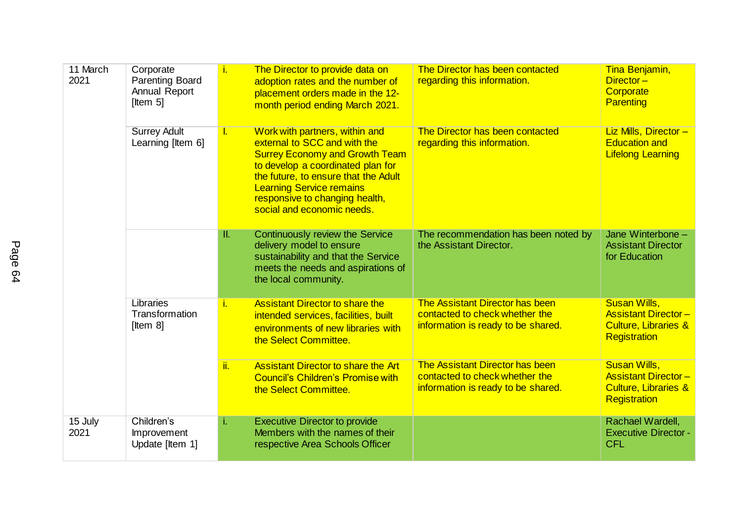| 11 March<br>2021 | Corporate<br><b>Parenting Board</b><br>Annual Report<br>[Item $5$ ] | Ť.       | The Director to provide data on<br>adoption rates and the number of<br>placement orders made in the 12-<br>month period ending March 2021.                                                                                                                                              | The Director has been contacted<br>regarding this information.                                          | Tina Benjamin,<br>Director-<br>Corporate<br><b>Parenting</b>                                                |
|------------------|---------------------------------------------------------------------|----------|-----------------------------------------------------------------------------------------------------------------------------------------------------------------------------------------------------------------------------------------------------------------------------------------|---------------------------------------------------------------------------------------------------------|-------------------------------------------------------------------------------------------------------------|
|                  | <b>Surrey Adult</b><br>Learning [Item 6]                            | <b>L</b> | Work with partners, within and<br>external to SCC and with the<br><b>Surrey Economy and Growth Team</b><br>to develop a coordinated plan for<br>the future, to ensure that the Adult<br><b>Learning Service remains</b><br>responsive to changing health,<br>social and economic needs. | The Director has been contacted<br>regarding this information.                                          | Liz Mills, Director-<br><b>Education and</b><br><b>Lifelong Learning</b>                                    |
|                  |                                                                     | π.       | <b>Continuously review the Service</b><br>delivery model to ensure<br>sustainability and that the Service<br>meets the needs and aspirations of<br>the local community.                                                                                                                 | The recommendation has been noted by<br>the Assistant Director.                                         | Jane Winterbone -<br><b>Assistant Director</b><br>for Education                                             |
|                  | Libraries<br>Transformation<br>[Item $8$ ]                          | j.       | <b>Assistant Director to share the</b><br>intended services, facilities, built<br>environments of new libraries with<br>the Select Committee.                                                                                                                                           | The Assistant Director has been<br>contacted to check whether the<br>information is ready to be shared. | <b>Susan Wills,</b><br><b>Assistant Director-</b><br><b>Culture, Libraries &amp;</b><br><b>Registration</b> |
|                  |                                                                     | ii.      | <b>Assistant Director to share the Art</b><br><b>Council's Children's Promise with</b><br>the Select Committee.                                                                                                                                                                         | The Assistant Director has been<br>contacted to check whether the<br>information is ready to be shared. | <b>Susan Wills,</b><br><b>Assistant Director-</b><br><b>Culture, Libraries &amp;</b><br><b>Registration</b> |
| 15 July<br>2021  | Children's<br>Improvement<br>Update [Item 1]                        | i.       | <b>Executive Director to provide</b><br>Members with the names of their<br>respective Area Schools Officer                                                                                                                                                                              |                                                                                                         | Rachael Wardell,<br><b>Executive Director -</b><br><b>CFL</b>                                               |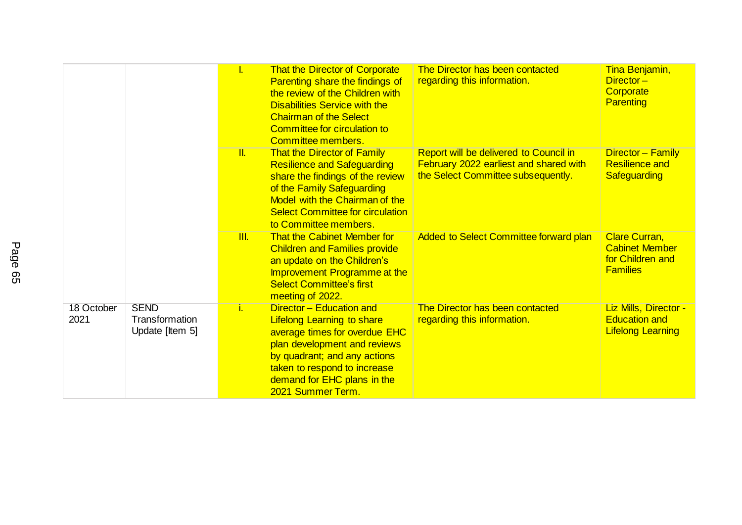|                    |                                                  | T.                      | <b>That the Director of Corporate</b><br>Parenting share the findings of<br>the review of the Children with<br><b>Disabilities Service with the</b><br><b>Chairman of the Select</b><br>Committee for circulation to<br>Committee members.         | The Director has been contacted<br>regarding this information.                                                         | Tina Benjamin,<br>Director-<br>Corporate<br><b>Parenting</b>                         |
|--------------------|--------------------------------------------------|-------------------------|----------------------------------------------------------------------------------------------------------------------------------------------------------------------------------------------------------------------------------------------------|------------------------------------------------------------------------------------------------------------------------|--------------------------------------------------------------------------------------|
|                    |                                                  | $\overline{\mathbb{L}}$ | <b>That the Director of Family</b><br><b>Resilience and Safeguarding</b><br>share the findings of the review<br>of the Family Safeguarding<br>Model with the Chairman of the<br><b>Select Committee for circulation</b><br>to Committee members.   | Report will be delivered to Council in<br>February 2022 earliest and shared with<br>the Select Committee subsequently. | Director - Family<br><b>Resilience and</b><br>Safeguarding                           |
|                    |                                                  | III.                    | <b>That the Cabinet Member for</b><br><b>Children and Families provide</b><br>an update on the Children's<br>Improvement Programme at the<br><b>Select Committee's first</b><br>meeting of 2022.                                                   | Added to Select Committee forward plan                                                                                 | <b>Clare Curran,</b><br><b>Cabinet Member</b><br>for Children and<br><b>Families</b> |
| 18 October<br>2021 | <b>SEND</b><br>Transformation<br>Update [Item 5] | Ĺ.                      | Director - Education and<br><b>Lifelong Learning to share</b><br>average times for overdue EHC<br>plan development and reviews<br>by quadrant; and any actions<br>taken to respond to increase<br>demand for EHC plans in the<br>2021 Summer Term. | The Director has been contacted<br>regarding this information.                                                         | Liz Mills, Director -<br><b>Education and</b><br><b>Lifelong Learning</b>            |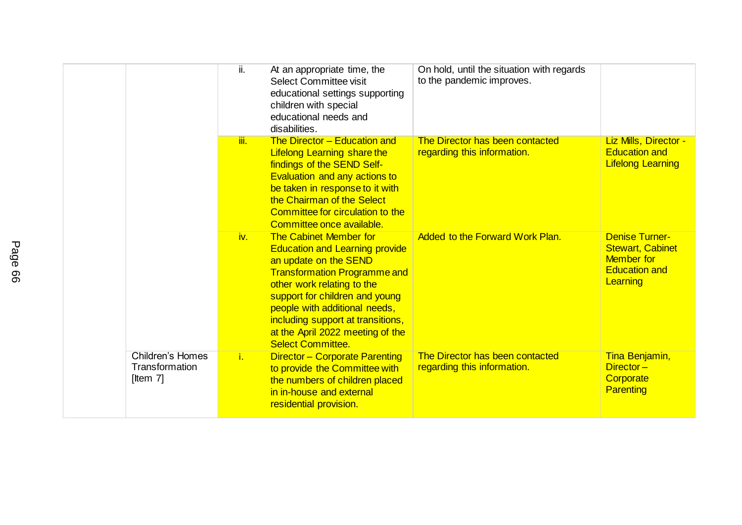|                                                          | ii.  | At an appropriate time, the<br>Select Committee visit<br>educational settings supporting<br>children with special<br>educational needs and<br>disabilities.                                                                                                                                                                                  | On hold, until the situation with regards<br>to the pandemic improves. |                                                                                                           |
|----------------------------------------------------------|------|----------------------------------------------------------------------------------------------------------------------------------------------------------------------------------------------------------------------------------------------------------------------------------------------------------------------------------------------|------------------------------------------------------------------------|-----------------------------------------------------------------------------------------------------------|
|                                                          | iii. | The Director - Education and<br><b>Lifelong Learning share the</b><br>findings of the SEND Self-<br>Evaluation and any actions to<br>be taken in response to it with<br>the Chairman of the Select<br>Committee for circulation to the<br>Committee once available.                                                                          | The Director has been contacted<br>regarding this information.         | Liz Mills, Director -<br><b>Education and</b><br><b>Lifelong Learning</b>                                 |
|                                                          | iv.  | <b>The Cabinet Member for</b><br><b>Education and Learning provide</b><br>an update on the SEND<br><b>Transformation Programme and</b><br>other work relating to the<br>support for children and young<br>people with additional needs,<br>including support at transitions,<br>at the April 2022 meeting of the<br><b>Select Committee.</b> | <b>Added to the Forward Work Plan.</b>                                 | <b>Denise Turner-</b><br><b>Stewart, Cabinet</b><br><b>Member</b> for<br><b>Education and</b><br>Learning |
| <b>Children's Homes</b><br>Transformation<br>[Item $7$ ] | i.   | <b>Director-Corporate Parenting</b><br>to provide the Committee with<br>the numbers of children placed<br>in in-house and external<br>residential provision.                                                                                                                                                                                 | The Director has been contacted<br>regarding this information.         | Tina Benjamin,<br>Director-<br>Corporate<br><b>Parenting</b>                                              |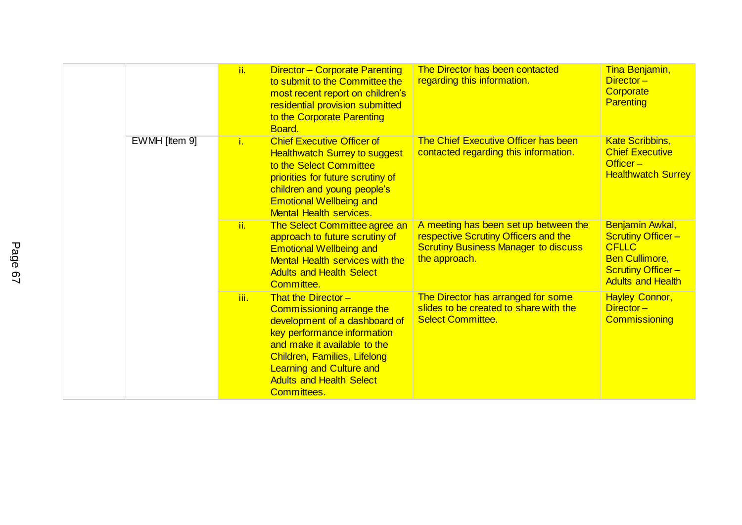|               | ii.            | <b>Director - Corporate Parenting</b><br>to submit to the Committee the<br>most recent report on children's<br>residential provision submitted<br>to the Corporate Parenting<br>Board.                                                                                         | The Director has been contacted<br>regarding this information.                                                                                | Tina Benjamin,<br>$Director -$<br>Corporate<br><b>Parenting</b>                                                                                     |
|---------------|----------------|--------------------------------------------------------------------------------------------------------------------------------------------------------------------------------------------------------------------------------------------------------------------------------|-----------------------------------------------------------------------------------------------------------------------------------------------|-----------------------------------------------------------------------------------------------------------------------------------------------------|
| EWMH [Item 9] | $\mathbf{i}$ . | <b>Chief Executive Officer of</b><br><b>Healthwatch Surrey to suggest</b><br>to the Select Committee<br>priorities for future scrutiny of<br>children and young people's<br><b>Emotional Wellbeing and</b><br><b>Mental Health services.</b>                                   | The Chief Executive Officer has been<br>contacted regarding this information.                                                                 | <b>Kate Scribbins,</b><br><b>Chief Executive</b><br>Officer-<br><b>Healthwatch Surrey</b>                                                           |
|               | ii.            | The Select Committee agree an<br>approach to future scrutiny of<br><b>Emotional Wellbeing and</b><br><b>Mental Health services with the</b><br><b>Adults and Health Select</b><br>Committee.                                                                                   | A meeting has been set up between the<br>respective Scrutiny Officers and the<br><b>Scrutiny Business Manager to discuss</b><br>the approach. | <b>Benjamin Awkal,</b><br><b>Scrutiny Officer-</b><br><b>CFLLC</b><br><b>Ben Cullimore,</b><br><b>Scrutiny Officer-</b><br><b>Adults and Health</b> |
|               | iii.           | That the Director $-$<br>Commissioning arrange the<br>development of a dashboard of<br>key performance information<br>and make it available to the<br>Children, Families, Lifelong<br><b>Learning and Culture and</b><br><b>Adults and Health Select</b><br><b>Committees.</b> | The Director has arranged for some<br>slides to be created to share with the<br><b>Select Committee.</b>                                      | <b>Hayley Connor,</b><br>Director-<br><b>Commissioning</b>                                                                                          |